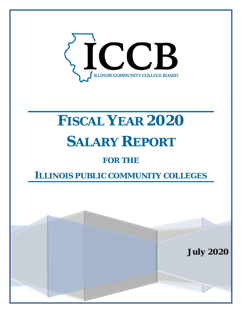

# **FISCAL YEAR 2020 SALARY REPORT**

## **FOR THE**

# **ILLINOIS PUBLIC COMMUNITY COLLEGES**

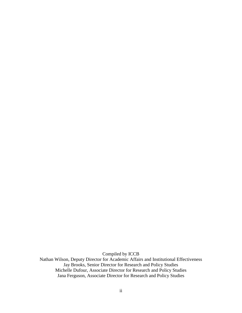Compiled by ICCB

Nathan Wilson, Deputy Director for Academic Affairs and Institutional Effectiveness Jay Brooks, Senior Director for Research and Policy Studies Michelle Dufour, Associate Director for Research and Policy Studies Jana Ferguson, Associate Director for Research and Policy Studies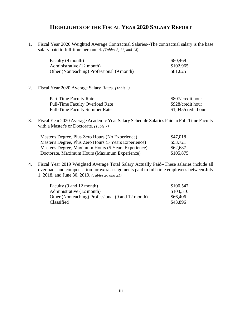## **HIGHLIGHTS OF THE FISCAL YEAR 2020 SALARY REPORT**

1. Fiscal Year 2020 Weighted Average Contractual Salaries--The contractual salary is the base salary paid to full-time personnel. *(Tables 2, 11, and 14)*

| Faculty (9 month)                          | \$80,469  |
|--------------------------------------------|-----------|
| Administrative (12 month)                  | \$102,965 |
| Other (Nonteaching) Professional (9 month) | \$81,625  |

2. Fiscal Year 2020 Average Salary Rates. *(Table 5)*

| Part-Time Faculty Rate                 | \$807/credit hour     |
|----------------------------------------|-----------------------|
| <b>Full-Time Faculty Overload Rate</b> | \$928/credit hour     |
| <b>Full-Time Faculty Summer Rate</b>   | $$1,045/c$ redit hour |

3. Fiscal Year 2020 Average Academic Year Salary Schedule Salaries Paid to Full-Time Faculty with a Master's or Doctorate. *(Table 7)*

| Master's Degree, Plus Zero Hours (No Experience)      | \$47,018  |
|-------------------------------------------------------|-----------|
| Master's Degree, Plus Zero Hours (5 Years Experience) | \$53,721  |
| Master's Degree, Maximum Hours (5 Years Experience)   | \$62,687  |
| Doctorate, Maximum Hours (Maximum Experience)         | \$105,875 |

4. Fiscal Year 2019 Weighted Average Total Salary Actually Paid--These salaries include all overloads and compensation for extra assignments paid to full-time employees between July 1, 2018, and June 30, 2019. *(Tables 20 and 21)*

| Faculty (9 and 12 month)                          | \$100,547 |
|---------------------------------------------------|-----------|
| Administrative (12 month)                         | \$103,310 |
| Other (Nonteaching) Professional (9 and 12 month) | \$66,406  |
| Classified                                        | \$43,896  |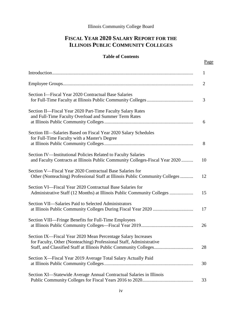## Illinois Community College Board

## **FISCAL YEAR 2020 SALARY REPORT FOR THE ILLINOIS PUBLIC COMMUNITY COLLEGES**

## **Table of Contents**

|                                                                                                                                               | $\mathbf{1}$   |
|-----------------------------------------------------------------------------------------------------------------------------------------------|----------------|
|                                                                                                                                               | $\overline{2}$ |
| Section I—Fiscal Year 2020 Contractual Base Salaries                                                                                          | 3              |
| Section II—Fiscal Year 2020 Part-Time Faculty Salary Rates<br>and Full-Time Faculty Overload and Summer Term Rates                            | 6              |
| Section III—Salaries Based on Fiscal Year 2020 Salary Schedules<br>for Full-Time Faculty with a Master's Degree                               | 8              |
| Section IV-Institutional Policies Related to Faculty Salaries<br>and Faculty Contracts at Illinois Public Community Colleges-Fiscal Year 2020 | 10             |
| Section V—Fiscal Year 2020 Contractual Base Salaries for<br>Other (Nonteaching) Professional Staff at Illinois Public Community Colleges      | 12             |
| Section VI—Fiscal Year 2020 Contractual Base Salaries for<br>Administrative Staff (12 Months) at Illinois Public Community Colleges           | 15             |
| Section VII—Salaries Paid to Selected Administrators                                                                                          | 17             |
| Section VIII—Fringe Benefits for Full-Time Employees                                                                                          | 26             |
| Section IX—Fiscal Year 2020 Mean Percentage Salary Increases<br>for Faculty, Other (Nonteaching) Professional Staff, Administrative           | 28             |
| Section X-Fiscal Year 2019 Average Total Salary Actually Paid                                                                                 | 30             |
| Section XI-Statewide Average Annual Contractual Salaries in Illinois                                                                          | 33             |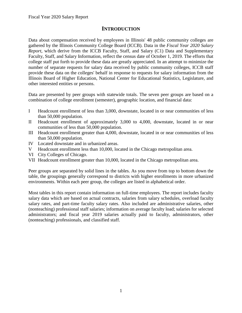## **INTRODUCTION**

<span id="page-4-0"></span>Data about compensation received by employees in Illinois' 48 public community colleges are gathered by the Illinois Community College Board (ICCB). Data in the *Fiscal Year 2020 Salary Report*, which derive from the ICCB Faculty, Staff, and Salary (C1) Data and Supplementary Faculty, Staff, and Salary Information, reflect the census date of October 1, 2019. The efforts that college staff put forth to provide these data are greatly appreciated. In an attempt to minimize the number of separate requests for salary data received by public community colleges, ICCB staff provide these data on the colleges' behalf in response to requests for salary information from the Illinois Board of Higher Education, National Center for Educational Statistics, Legislature, and other interested entities or persons.

Data are presented by peer groups with statewide totals. The seven peer groups are based on a combination of college enrollment (semester), geographic location, and financial data:

- I Headcount enrollment of less than 3,000, downstate, located in or near communities of less than 50,000 population.
- II Headcount enrollment of approximately 3,000 to 4,000, downstate, located in or near communities of less than 50,000 population.
- III Headcount enrollment greater than 4,000, downstate, located in or near communities of less than 50,000 population.
- IV Located downstate and in urbanized areas.
- V Headcount enrollment less than 10,000, located in the Chicago metropolitan area.
- VI City Colleges of Chicago.
- VII Headcount enrollment greater than 10,000, located in the Chicago metropolitan area.

Peer groups are separated by solid lines in the tables. As you move from top to bottom down the table, the groupings generally correspond to districts with higher enrollments in more urbanized environments. Within each peer group, the colleges are listed in alphabetical order.

Most tables in this report contain information on full-time employees. The report includes faculty salary data which are based on actual contracts, salaries from salary schedules, overload faculty salary rates, and part-time faculty salary rates. Also included are administrative salaries, other (nonteaching) professional staff salaries; information on average faculty load; salaries for selected administrators; and fiscal year 2019 salaries actually paid to faculty, administrators, other (nonteaching) professionals, and classified staff.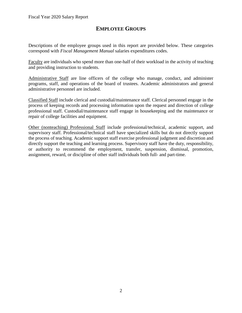## **EMPLOYEE GROUPS**

<span id="page-5-0"></span>Descriptions of the employee groups used in this report are provided below. These categories correspond with *Fiscal Management Manual* salaries expenditures codes.

Faculty are individuals who spend more than one-half of their workload in the activity of teaching and providing instruction to students.

Administrative Staff are line officers of the college who manage, conduct, and administer programs, staff, and operations of the board of trustees. Academic administrators and general administrative personnel are included.

Classified Staff include clerical and custodial/maintenance staff. Clerical personnel engage in the process of keeping records and processing information upon the request and direction of college professional staff. Custodial/maintenance staff engage in housekeeping and the maintenance or repair of college facilities and equipment.

Other (nonteaching) Professional Staff include professional/technical, academic support, and supervisory staff. Professional/technical staff have specialized skills but do not directly support the process of teaching. Academic support staff exercise professional judgment and discretion and directly support the teaching and learning process. Supervisory staff have the duty, responsibility, or authority to recommend the employment, transfer, suspension, dismissal, promotion, assignment, reward, or discipline of other staff individuals both full- and part-time.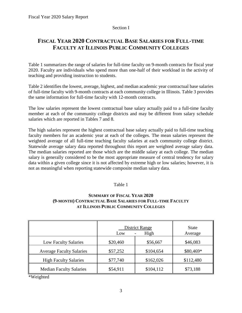#### Section I

## <span id="page-6-0"></span>**FISCAL YEAR 2020 CONTRACTUAL BASE SALARIES FOR FULL-TIME FACULTY AT ILLINOIS PUBLIC COMMUNITY COLLEGES**

Table 1 summarizes the range of salaries for full-time faculty on 9-month contracts for fiscal year 2020. Faculty are individuals who spend more than one-half of their workload in the activity of teaching and providing instruction to students.

Table 2 identifies the lowest, average, highest, and median academic year contractual base salaries of full-time faculty with 9-month contracts at each community college in Illinois. Table 3 provides the same information for full-time faculty with 12-month contracts.

The low salaries represent the lowest contractual base salary actually paid to a full-time faculty member at each of the community college districts and may be different from salary schedule salaries which are reported in Tables 7 and 8.

The high salaries represent the highest contractual base salary actually paid to full-time teaching faculty members for an academic year at each of the colleges. The mean salaries represent the weighted average of all full-time teaching faculty salaries at each community college district. Statewide average salary data reported throughout this report are weighted average salary data. The median salaries reported are those which are the middle salary at each college. The median salary is generally considered to be the most appropriate measure of central tendency for salary data within a given college since it is not affected by extreme high or low salaries; however, it is not as meaningful when reporting statewide composite median salary data.

## Table 1

## **SUMMARY OF FISCAL YEAR 2020 (9-MONTH) CONTRACTUAL BASE SALARIES FOR FULL-TIME FACULTY AT ILLINOIS PUBLIC COMMUNITY COLLEGES**

|                                 | <b>District Range</b><br>High<br>Low |           | <b>State</b><br>Average |
|---------------------------------|--------------------------------------|-----------|-------------------------|
| <b>Low Faculty Salaries</b>     | \$20,460                             | \$56,667  | \$46,083                |
| <b>Average Faculty Salaries</b> | \$57,252                             | \$104,654 | \$80,469*               |
| <b>High Faculty Salaries</b>    | \$77,740                             | \$162,026 | \$112,480               |
| <b>Median Faculty Salaries</b>  | \$54,911                             | \$104,112 | \$73,188                |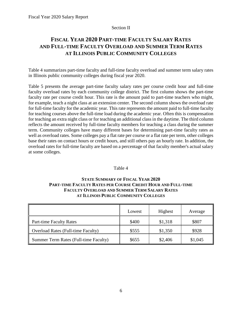## Section II

## <span id="page-7-0"></span>**FISCAL YEAR 2020 PART-TIME FACULTY SALARY RATES AND FULL-TIME FACULTY OVERLOAD AND SUMMER TERM RATES AT ILLINOIS PUBLIC COMMUNITY COLLEGES**

Table 4 summarizes part-time faculty and full-time faculty overload and summer term salary rates in Illinois public community colleges during fiscal year 2020.

Table 5 presents the average part-time faculty salary rates per course credit hour and full-time faculty overload rates by each community college district. The first column shows the part-time faculty rate per course credit hour. This rate is the amount paid to part-time teachers who might, for example, teach a night class at an extension center. The second column shows the overload rate for full-time faculty for the academic year. This rate represents the amount paid to full-time faculty for teaching courses above the full-time load during the academic year. Often this is compensation for teaching an extra night class or for teaching an additional class in the daytime. The third column reflects the amount received by full-time faculty members for teaching a class during the summer term. Community colleges have many different bases for determining part-time faculty rates as well as overload rates. Some colleges pay a flat rate per course or a flat rate per term, other colleges base their rates on contact hours or credit hours, and still others pay an hourly rate. In addition, the overload rates for full-time faculty are based on a percentage of that faculty member's actual salary at some colleges.

## Table 4

## **STATE SUMMARY OF FISCAL YEAR 2020 PART-TIME FACULTY RATES PER COURSE CREDIT HOUR AND FULL-TIME FACULTY OVERLOAD AND SUMMER TERM SALARY RATES AT ILLINOIS PUBLIC COMMUNITY COLLEGES**

|                                           | Lowest | Highest | Average |
|-------------------------------------------|--------|---------|---------|
| <b>Part-time Faculty Rates</b>            | \$400  | \$1,318 | \$807   |
| <b>Overload Rates (Full-time Faculty)</b> | \$555  | \$1,350 | \$928   |
| Summer Term Rates (Full-time Faculty)     | \$655  | \$2,406 | \$1,045 |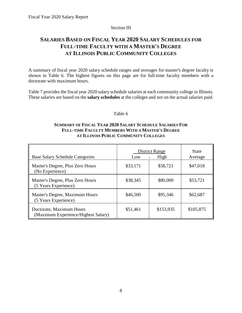#### Section III

## <span id="page-8-0"></span>**SALARIES BASED ON FISCAL YEAR 2020 SALARY SCHEDULES FOR FULL-TIME FACULTY WITH A MASTER'S DEGREE AT ILLINOIS PUBLIC COMMUNITY COLLEGES**

A summary of fiscal year 2020 salary schedule ranges and averages for master's degree faculty is shown in Table 6. The highest figures on this page are for full-time faculty members with a doctorate with maximum hours.

Table 7 provides the fiscal year 2020 salary schedule salaries at each community college in Illinois. These salaries are based on the **salary schedules** at the colleges and not on the actual salaries paid.

#### Table 6

## **SUMMARY OF FISCAL YEAR 2020 SALARY SCHEDULE SALARIES FOR FULL-TIME FACULTY MEMBERS WITH A MASTER'S DEGREE AT ILLINOIS PUBLIC COMMUNITY COLLEGES**

| <b>Base Salary Schedule Categories</b>                          | <b>District Range</b><br>High<br>Low |           | <b>State</b><br>Average |
|-----------------------------------------------------------------|--------------------------------------|-----------|-------------------------|
| Master's Degree, Plus Zero Hours<br>(No Experience)             | \$33,171                             | \$58,721  | \$47,018                |
| Master's Degree, Plus Zero Hours<br>(5 Years Experience)        | \$38,345                             | \$80,000  | \$53,721                |
| Master's Degree, Maximum Hours<br>(5 Years Experience)          | \$46,500                             | \$95,346  | \$62,687                |
| Doctorate, Maximum Hours<br>(Maximum Experience/Highest Salary) | \$51,461                             | \$153,935 | \$105,875               |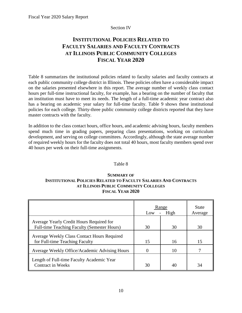#### Section IV

## <span id="page-9-0"></span>**INSTITUTIONAL POLICIES RELATED TO FACULTY SALARIES AND FACULTY CONTRACTS AT ILLINOIS PUBLIC COMMUNITY COLLEGES FISCAL YEAR 2020**

Table 8 summarizes the institutional policies related to faculty salaries and faculty contracts at each public community college district in Illinois. These policies often have a considerable impact on the salaries presented elsewhere in this report. The average number of weekly class contact hours per full-time instructional faculty, for example, has a bearing on the number of faculty that an institution must have to meet its needs. The length of a full-time academic year contract also has a bearing on academic year salary for full-time faculty. Table 9 shows these institutional policies for each college. Thirty-three public community college districts reported that they have master contracts with the faculty.

In addition to the class contact hours, office hours, and academic advising hours, faculty members spend much time in grading papers, preparing class presentations, working on curriculum development, and serving on college committees. Accordingly, although the state average number of required weekly hours for the faculty does not total 40 hours, most faculty members spend over 40 hours per week on their full-time assignments.

## Table 8

## **SUMMARY OF INSTITUTIONAL POLICIES RELATED TO FACULTY SALARIES AND CONTRACTS AT ILLINOIS PUBLIC COMMUNITY COLLEGES FISCAL YEAR 2020**

|                                                                                         | Range<br>High<br>Low |    | <b>State</b><br>Average |
|-----------------------------------------------------------------------------------------|----------------------|----|-------------------------|
| Average Yearly Credit Hours Required for<br>Full-time Teaching Faculty (Semester Hours) | 30                   | 30 | 30                      |
| Average Weekly Class Contact Hours Required<br>for Full-time Teaching Faculty           | 15                   | 16 | 15                      |
| Average Weekly Office/Academic Advising Hours                                           |                      | 10 |                         |
| Length of Full-time Faculty Academic Year<br><b>Contract in Weeks</b>                   | 30                   | 40 | 34                      |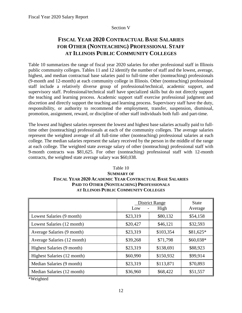#### Section V

## <span id="page-10-0"></span>**FISCAL YEAR 2020 CONTRACTUAL BASE SALARIES FOR OTHER (NONTEACHING) PROFESSIONAL STAFF AT ILLINOIS PUBLIC COMMUNITY COLLEGES**

Table 10 summarizes the range of fiscal year 2020 salaries for other professional staff in Illinois public community colleges. Tables 11 and 12 identify the number of staff and the lowest, average, highest, and median contractual base salaries paid to full-time other (nonteaching) professionals (9-month and 12-month) at each community college in Illinois. Other (nonteaching) professional staff include a relatively diverse group of professional/technical, academic support, and supervisory staff. Professional/technical staff have specialized skills but do not directly support the teaching and learning process. Academic support staff exercise professional judgment and discretion and directly support the teaching and learning process. Supervisory staff have the duty, responsibility, or authority to recommend the employment, transfer, suspension, dismissal, promotion, assignment, reward, or discipline of other staff individuals both full- and part-time.

The lowest and highest salaries represent the lowest and highest base salaries actually paid to fulltime other (nonteaching) professionals at each of the community colleges. The average salaries represent the weighted average of all full-time other (nonteaching) professional salaries at each college. The median salaries represent the salary received by the person in the middle of the range at each college. The weighted state average salary of other (nonteaching) professional staff with 9-month contracts was \$81,625. For other (nonteaching) professional staff with 12-month contracts, the weighted state average salary was \$60,038.

## Table 10 **SUMMARY OF FISCAL YEAR 2020 ACADEMIC YEAR CONTRACTUAL BASE SALARIES PAID TO OTHER (NONTEACHING) PROFESSIONALS AT ILLINOIS PUBLIC COMMUNITY COLLEGES**

|                             | <b>District Range</b><br>High<br>Low |           | <b>State</b><br>Average |
|-----------------------------|--------------------------------------|-----------|-------------------------|
| Lowest Salaries (9 month)   | \$23,319                             | \$80,132  | \$54,158                |
| Lowest Salaries (12 month)  | \$20,427                             | \$46,121  | \$32,593                |
| Average Salaries (9 month)  | \$23,319                             | \$103,354 | \$81,625*               |
| Average Salaries (12 month) | \$39,268                             | \$71,798  | \$60,038*               |
| Highest Salaries (9 month)  | \$23,319                             | \$138,691 | \$88,923                |
| Highest Salaries (12 month) | \$60,990                             | \$150,932 | \$99,914                |
| Median Salaries (9 month)   | \$23,319                             | \$113,871 | \$70,893                |
| Median Salaries (12 month)  | \$36,960                             | \$68,422  | \$51,557                |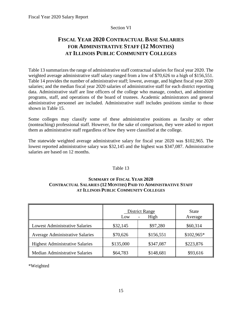## Section VI

## <span id="page-11-0"></span>**FISCAL YEAR 2020 CONTRACTUAL BASE SALARIES FOR ADMINISTRATIVE STAFF (12 MONTHS) AT ILLINOIS PUBLIC COMMUNITY COLLEGES**

Table 13 summarizes the range of administrative staff contractual salaries for fiscal year 2020. The weighted average administrative staff salary ranged from a low of \$70,626 to a high of \$156,551. Table 14 provides the number of administrative staff; lowest, average, and highest fiscal year 2020 salaries; and the median fiscal year 2020 salaries of administrative staff for each district reporting data. Administrative staff are line officers of the college who manage, conduct, and administer programs, staff, and operations of the board of trustees. Academic administrators and general administrative personnel are included. Administrative staff includes positions similar to those shown in Table 15.

Some colleges may classify some of these administrative positions as faculty or other (nonteaching) professional staff. However, for the sake of comparison, they were asked to report them as administrative staff regardless of how they were classified at the college.

The statewide weighted average administrative salary for fiscal year 2020 was \$102,965. The lowest reported administrative salary was \$32,145 and the highest was \$347,087. Administrative salaries are based on 12 months.

## Table 13

## **SUMMARY OF FISCAL YEAR 2020 CONTRACTUAL SALARIES (12 MONTHS) PAID TO ADMINISTRATIVE STAFF AT ILLINOIS PUBLIC COMMUNITY COLLEGES**

|                                        | <b>District Range</b><br>Low | <b>State</b><br>Average |             |
|----------------------------------------|------------------------------|-------------------------|-------------|
| <b>Lowest Administrative Salaries</b>  | \$32,145                     | \$97,280                | \$60,314    |
| <b>Average Administrative Salaries</b> | \$70,626                     | \$156,551               | $$102,965*$ |
| <b>Highest Administrative Salaries</b> | \$135,000                    | \$347,087               | \$223,876   |
| <b>Median Administrative Salaries</b>  | \$64,783                     | \$148,681               | \$93,616    |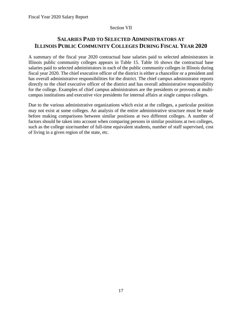## Section VII

## <span id="page-12-0"></span>**SALARIES PAID TO SELECTED ADMINISTRATORS AT ILLINOIS PUBLIC COMMUNITY COLLEGES DURING FISCAL YEAR 2020**

A summary of the fiscal year 2020 contractual base salaries paid to selected administrators in Illinois public community colleges appears in Table 15. Table 16 shows the contractual base salaries paid to selected administrators in each of the public community colleges in Illinois during fiscal year 2020. The chief executive officer of the district is either a chancellor or a president and has overall administrative responsibilities for the district. The chief campus administrator reports directly to the chief executive officer of the district and has overall administrative responsibility for the college. Examples of chief campus administrators are the presidents or provosts at multicampus institutions and executive vice presidents for internal affairs at single campus colleges.

Due to the various administrative organizations which exist at the colleges, a particular position may not exist at some colleges. An analysis of the entire administrative structure must be made before making comparisons between similar positions at two different colleges. A number of factors should be taken into account when comparing persons in similar positions at two colleges, such as the college size/number of full-time equivalent students, number of staff supervised, cost of living in a given region of the state, etc.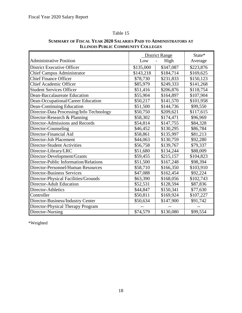## Table 15

|                                          | <b>District Range</b> |           | State*    |
|------------------------------------------|-----------------------|-----------|-----------|
| <b>Administrative Position</b>           | Low                   | High      | Average   |
| <b>District Executive Officer</b>        | \$135,000             | \$347,087 | \$223,876 |
| <b>Chief Campus Administrator</b>        | \$143,218             | \$184,714 | \$169,625 |
| <b>Chief Finance Officer</b>             | \$78,730              | \$231,833 | \$150,123 |
| <b>Chief Academic Officer</b>            | \$85,979              | \$249,333 | \$141,268 |
| <b>Student Services Officer</b>          | \$51,416              | \$206,876 | \$118,754 |
| Dean-Baccalaureate Education             | \$55,904              | \$164,897 | \$107,904 |
| Dean-Occupational/Career Education       | \$50,217              | \$141,570 | \$101,958 |
| <b>Dean-Continuing Education</b>         | \$51,500              | \$144,736 | \$99,550  |
| Director-Data Processing/Info Technology | \$50,750              | \$209,621 | \$117,615 |
| Director-Research & Planning             | \$58,302              | \$174,471 | \$96,969  |
| Director-Admissions and Records          | \$54,814              | \$147,755 | \$84,328  |
| Director-Counseling                      | \$46,452              | \$130,295 | \$86,784  |
| Director-Financial Aid                   | \$58,861              | \$135,997 | \$81,213  |
| Director-Job Placement                   | \$44,063              | \$130,759 | \$92,280  |
| <b>Director-Student Activities</b>       | \$56,758              | \$139,767 | \$79,337  |
| Director-Library/LRC                     | \$51,680              | \$134,244 | \$88,009  |
| Director-Development/Grants              | \$59,455              | \$215,157 | \$104,823 |
| Director-Public Information/Relations    | \$51,500              | \$167,248 | \$98,394  |
| Director-Personnel/Human Resources       | \$58,710              | \$166,350 | \$103,910 |
| <b>Director-Business Services</b>        | \$47,088              | \$162,454 | \$92,224  |
| Director-Physical Facilities/Grounds     | \$63,390              | \$168,056 | \$102,743 |
| <b>Director-Adult Education</b>          | \$52,531              | \$128,594 | \$87,836  |
| Director-Athletics                       | \$44,847              | \$150,341 | \$77,630  |
| Controller                               | \$50,811              | \$169,924 | \$107,227 |
| Director-Business/Industry Center        | \$50,634              | \$147,900 | \$91,742  |
| Director-Physical Therapy Program        |                       |           |           |
| Director-Nursing                         | \$74,579              | \$130,080 | \$99,554  |

## **SUMMARY OF FISCAL YEAR 2020 SALARIES PAID TO ADMINISTRATORS AT ILLINOIS PUBLIC COMMUNITY COLLEGES**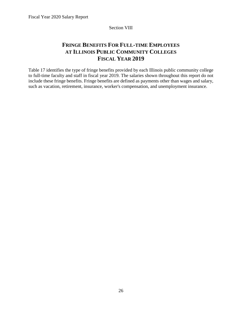#### Section VIII

## <span id="page-14-0"></span>**FRINGE BENEFITS FOR FULL-TIME EMPLOYEES AT ILLINOIS PUBLIC COMMUNITY COLLEGES FISCAL YEAR 2019**

Table 17 identifies the type of fringe benefits provided by each Illinois public community college to full-time faculty and staff in fiscal year 2019. The salaries shown throughout this report do not include these fringe benefits. Fringe benefits are defined as payments other than wages and salary, such as vacation, retirement, insurance, worker's compensation, and unemployment insurance.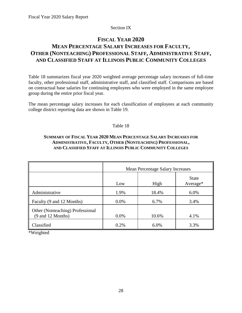## Section IX

## <span id="page-15-0"></span>**FISCAL YEAR 2020 MEAN PERCENTAGE SALARY INCREASES FOR FACULTY, OTHER (NONTEACHING) PROFESSIONAL STAFF, ADMINISTRATIVE STAFF, AND CLASSIFIED STAFF AT ILLINOIS PUBLIC COMMUNITY COLLEGES**

Table 18 summarizes fiscal year 2020 weighted average percentage salary increases of full-time faculty, other professional staff, administrative staff, and classified staff. Comparisons are based on contractual base salaries for continuing employees who were employed in the same employee group during the entire prior fiscal year.

The mean percentage salary increases for each classification of employees at each community college district reporting data are shown in Table 19.

## Table 18

## **SUMMARY OF FISCAL YEAR 2020 MEAN PERCENTAGE SALARY INCREASES FOR ADMINISTRATIVE, FACULTY, OTHER (NONTEACHING) PROFESSIONAL, AND CLASSIFIED STAFF AT ILLINOIS PUBLIC COMMUNITY COLLEGES**

|                                                       | <b>Mean Percentage Salary Increases</b> |       |                            |  |  |
|-------------------------------------------------------|-----------------------------------------|-------|----------------------------|--|--|
|                                                       | Low                                     | High  | <b>State</b><br>$Average*$ |  |  |
| Administrative                                        | 1.9%                                    | 18.4% | 6.0%                       |  |  |
| Faculty (9 and 12 Months)                             | $0.0\%$                                 | 6.7%  | 3.4%                       |  |  |
| Other (Nonteaching) Professional<br>(9 and 12 Months) | $0.0\%$                                 | 10.6% | 4.1%                       |  |  |
| Classified                                            | 0.2%                                    | 6.0%  | 3.3%                       |  |  |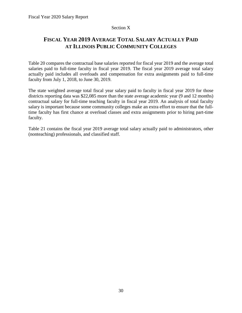## Section X

## <span id="page-16-0"></span>**FISCAL YEAR 2019 AVERAGE TOTAL SALARY ACTUALLY PAID AT ILLINOIS PUBLIC COMMUNITY COLLEGES**

Table 20 compares the contractual base salaries reported for fiscal year 2019 and the average total salaries paid to full-time faculty in fiscal year 2019. The fiscal year 2019 average total salary actually paid includes all overloads and compensation for extra assignments paid to full-time faculty from July 1, 2018, to June 30, 2019.

The state weighted average total fiscal year salary paid to faculty in fiscal year 2019 for those districts reporting data was \$22,085 more than the state average academic year (9 and 12 months) contractual salary for full-time teaching faculty in fiscal year 2019. An analysis of total faculty salary is important because some community colleges make an extra effort to ensure that the fulltime faculty has first chance at overload classes and extra assignments prior to hiring part-time faculty.

Table 21 contains the fiscal year 2019 average total salary actually paid to administrators, other (nonteaching) professionals, and classified staff.